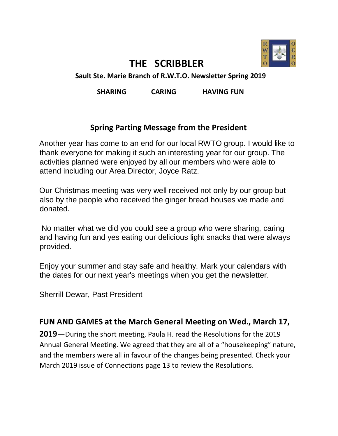

# **THE SCRIBBLER**

**Sault Ste. Marie Branch of R.W.T.O. Newsletter Spring 2019** 

**SHARING CARING HAVING FUN** 

#### **Spring Parting Message from the President**

Another year has come to an end for our local RWTO group. I would like to thank everyone for making it such an interesting year for our group. The activities planned were enjoyed by all our members who were able to attend including our Area Director, Joyce Ratz.

Our Christmas meeting was very well received not only by our group but also by the people who received the ginger bread houses we made and donated.

No matter what we did you could see a group who were sharing, caring and having fun and yes eating our delicious light snacks that were always provided.

Enjoy your summer and stay safe and healthy. Mark your calendars with the dates for our next year's meetings when you get the newsletter.

Sherrill Dewar, Past President

#### **FUN AND GAMES at the March General Meeting on Wed., March 17,**

**2019—**During the short meeting, Paula H. read the Resolutions for the 2019 Annual General Meeting. We agreed that they are all of a "housekeeping" nature, and the members were all in favour of the changes being presented. Check your March 2019 issue of Connections page 13 to review the Resolutions.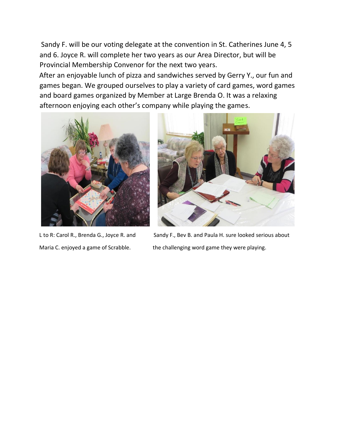Sandy F. will be our voting delegate at the convention in St. Catherines June 4, 5 and 6. Joyce R. will complete her two years as our Area Director, but will be Provincial Membership Convenor for the next two years.

After an enjoyable lunch of pizza and sandwiches served by Gerry Y., our fun and games began. We grouped ourselves to play a variety of card games, word games and board games organized by Member at Large Brenda O. It was a relaxing afternoon enjoying each other's company while playing the games.





L to R: Carol R., Brenda G., Joyce R. and Sandy F., Bev B. and Paula H. sure looked serious about Maria C. enjoyed a game of Scrabble. the challenging word game they were playing.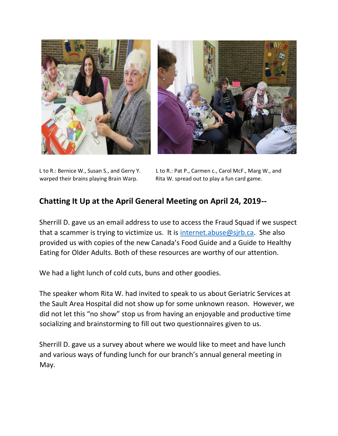

L to R.: Bernice W., Susan S., and Gerry Y. L to R.: Pat P., Carmen c., Carol McF., Marg W., and warped their brains playing Brain Warp. Rita W. spread out to play a fun card game.

#### **Chatting It Up at the April General Meeting on April 24, 2019--**

Sherrill D. gave us an email address to use to access the Fraud Squad if we suspect that a scammer is trying to victimize us. It is internet.abuse@sjrb.ca. She also provided us with copies of the new Canada's Food Guide and a Guide to Healthy Eating for Older Adults. Both of these resources are worthy of our attention.

We had a light lunch of cold cuts, buns and other goodies.

The speaker whom Rita W. had invited to speak to us about Geriatric Services at the Sault Area Hospital did not show up for some unknown reason. However, we did not let this "no show" stop us from having an enjoyable and productive time socializing and brainstorming to fill out two questionnaires given to us.

Sherrill D. gave us a survey about where we would like to meet and have lunch and various ways of funding lunch for our branch's annual general meeting in May.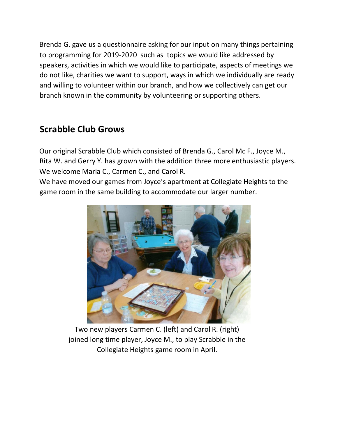Brenda G. gave us a questionnaire asking for our input on many things pertaining to programming for 2019-2020 such as topics we would like addressed by speakers, activities in which we would like to participate, aspects of meetings we do not like, charities we want to support, ways in which we individually are ready and willing to volunteer within our branch, and how we collectively can get our branch known in the community by volunteering or supporting others.

### **Scrabble Club Grows**

Our original Scrabble Club which consisted of Brenda G., Carol Mc F., Joyce M., Rita W. and Gerry Y. has grown with the addition three more enthusiastic players. We welcome Maria C., Carmen C., and Carol R.

We have moved our games from Joyce's apartment at Collegiate Heights to the game room in the same building to accommodate our larger number.



Two new players Carmen C. (left) and Carol R. (right) joined long time player, Joyce M., to play Scrabble in the Collegiate Heights game room in April.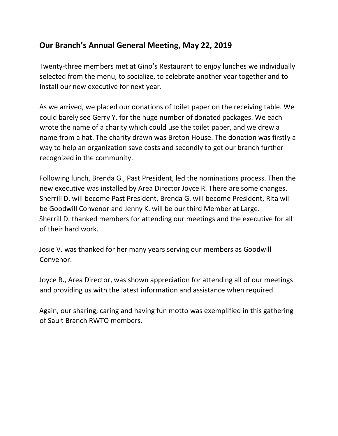### **Our Branch's Annual General Meeting, May 22, 2019**

Twenty-three members met at Gino's Restaurant to enjoy lunches we individually selected from the menu, to socialize, to celebrate another year together and to install our new executive for next year.

As we arrived, we placed our donations of toilet paper on the receiving table. We could barely see Gerry Y. for the huge number of donated packages. We each wrote the name of a charity which could use the toilet paper, and we drew a name from a hat. The charity drawn was Breton House. The donation was firstly a way to help an organization save costs and secondly to get our branch further recognized in the community.

Following lunch, Brenda G., Past President, led the nominations process. Then the new executive was installed by Area Director Joyce R. There are some changes. Sherrill D. will become Past President, Brenda G. will become President, Rita will be Goodwill Convenor and Jenny K. will be our third Member at Large. Sherrill D. thanked members for attending our meetings and the executive for all of their hard work.

Josie V. was thanked for her many years serving our members as Goodwill Convenor.

Joyce R., Area Director, was shown appreciation for attending all of our meetings and providing us with the latest information and assistance when required.

Again, our sharing, caring and having fun motto was exemplified in this gathering of Sault Branch RWTO members.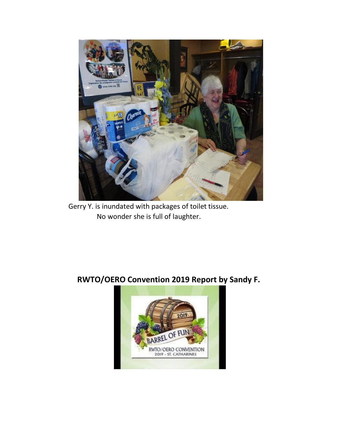

Gerry Y. is inundated with packages of toilet tissue. No wonder she is full of laughter.

## **RWTO/OERO Convention 2019 Report by Sandy F.**

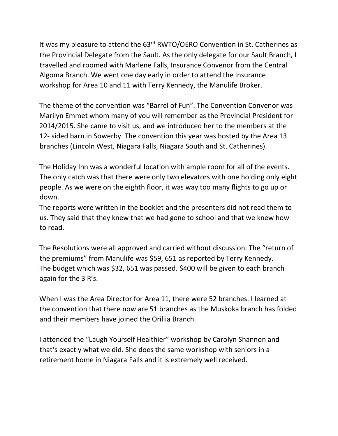It was my pleasure to attend the 63<sup>rd</sup> RWTO/OERO Convention in St. Catherines as the Provincial Delegate from the Sault. As the only delegate for our Sault Branch, I travelled and roomed with Marlene Falls, Insurance Convenor from the Central Algoma Branch. We went one day early in order to attend the Insurance workshop for Area 10 and 11 with Terry Kennedy, the Manulife Broker.

The theme of the convention was "Barrel of Fun". The Convention Convenor was Marilyn Emmet whom many of you will remember as the Provincial President for 2014/2015. She came to visit us, and we introduced her to the members at the 12- sided barn in Sowerby. The convention this year was hosted by the Area 13 branches (Lincoln West, Niagara Falls, Niagara South and St. Catherines).

The Holiday Inn was a wonderful location with ample room for all of the events. The only catch was that there were only two elevators with one holding only eight people. As we were on the eighth floor, it was way too many flights to go up or down.

The reports were written in the booklet and the presenters did not read them to us. They said that they knew that we had gone to school and that we knew how to read.

The Resolutions were all approved and carried without discussion. The "return of the premiums" from Manulife was \$59, 651 as reported by Terry Kennedy. The budget which was \$32, 651 was passed. \$400 will be given to each branch again for the 3 R's.

When I was the Area Director for Area 11, there were 52 branches. I learned at the convention that there now are 51 branches as the Muskoka branch has folded and their members have joined the Orillia Branch.

I attended the "Laugh Yourself Healthier" workshop by Carolyn Shannon and that's exactly what we did. She does the same workshop with seniors in a retirement home in Niagara Falls and it is extremely well received.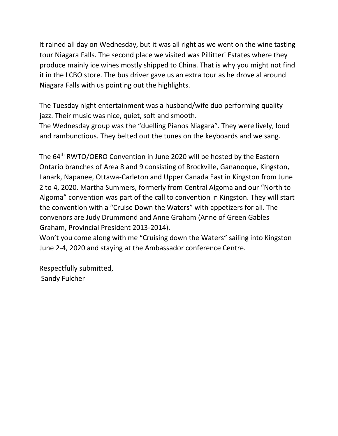It rained all day on Wednesday, but it was all right as we went on the wine tasting tour Niagara Falls. The second place we visited was Pillitteri Estates where they produce mainly ice wines mostly shipped to China. That is why you might not find it in the LCBO store. The bus driver gave us an extra tour as he drove al around Niagara Falls with us pointing out the highlights.

The Tuesday night entertainment was a husband/wife duo performing quality jazz. Their music was nice, quiet, soft and smooth.

The Wednesday group was the "duelling Pianos Niagara". They were lively, loud and rambunctious. They belted out the tunes on the keyboards and we sang.

The 64<sup>th</sup> RWTO/OERO Convention in June 2020 will be hosted by the Eastern Ontario branches of Area 8 and 9 consisting of Brockville, Gananoque, Kingston, Lanark, Napanee, Ottawa-Carleton and Upper Canada East in Kingston from June 2 to 4, 2020. Martha Summers, formerly from Central Algoma and our "North to Algoma" convention was part of the call to convention in Kingston. They will start the convention with a "Cruise Down the Waters" with appetizers for all. The convenors are Judy Drummond and Anne Graham (Anne of Green Gables Graham, Provincial President 2013-2014).

Won't you come along with me "Cruising down the Waters" sailing into Kingston June 2-4, 2020 and staying at the Ambassador conference Centre.

Respectfully submitted, Sandy Fulcher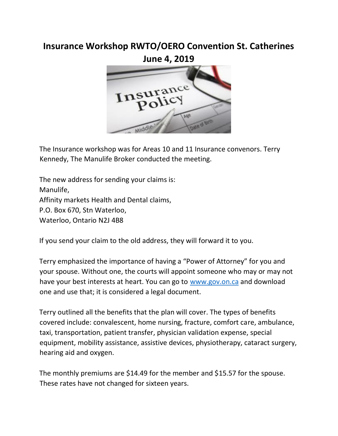### **Insurance Workshop RWTO/OERO Convention St. Catherines**

**June 4, 2019** 



The Insurance workshop was for Areas 10 and 11 Insurance convenors. Terry Kennedy, The Manulife Broker conducted the meeting.

The new address for sending your claims is: Manulife, Affinity markets Health and Dental claims, P.O. Box 670, Stn Waterloo, Waterloo, Ontario N2J 4B8

If you send your claim to the old address, they will forward it to you.

Terry emphasized the importance of having a "Power of Attorney" for you and your spouse. Without one, the courts will appoint someone who may or may not have your best interests at heart. You can go to [www.gov.on.ca](http://www.gov.on.ca/) and download one and use that; it is considered a legal document.

Terry outlined all the benefits that the plan will cover. The types of benefits covered include: convalescent, home nursing, fracture, comfort care, ambulance, taxi, transportation, patient transfer, physician validation expense, special equipment, mobility assistance, assistive devices, physiotherapy, cataract surgery, hearing aid and oxygen.

The monthly premiums are \$14.49 for the member and \$15.57 for the spouse. These rates have not changed for sixteen years.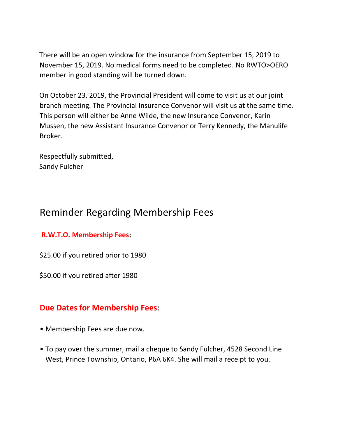There will be an open window for the insurance from September 15, 2019 to November 15, 2019. No medical forms need to be completed. No RWTO>OERO member in good standing will be turned down.

On October 23, 2019, the Provincial President will come to visit us at our joint branch meeting. The Provincial Insurance Convenor will visit us at the same time. This person will either be Anne Wilde, the new Insurance Convenor, Karin Mussen, the new Assistant Insurance Convenor or Terry Kennedy, the Manulife Broker.

Respectfully submitted, Sandy Fulcher

# Reminder Regarding Membership Fees

#### **R.W.T.O. Membership Fees:**

\$25.00 if you retired prior to 1980

\$50.00 if you retired after 1980

#### **Due Dates for Membership Fees**:

- Membership Fees are due now.
- To pay over the summer, mail a cheque to Sandy Fulcher, 4528 Second Line West, Prince Township, Ontario, P6A 6K4. She will mail a receipt to you.